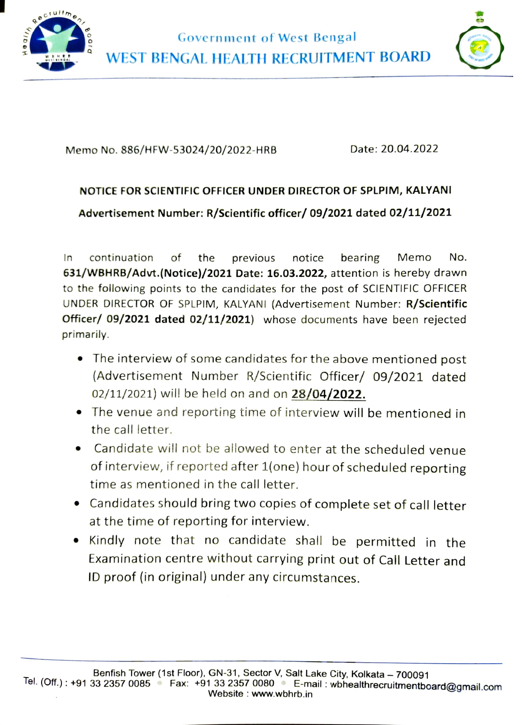

Government of West Bengal WEST BENGAL HEALTH RECRUITMENT BOARD



Memo No. 886/HFW-53024/20/2022-HRB Date: 20.04.2022

## NOTICE FOR SCIENTIFIC OFFICER UNDER DIRECTOR OF SPLPIM, KALYANI

Advertisement Number: R/Scientific officer/ 09/2021 dated 02/11/2021

In continuation of the previous notice bearing Memo No. 631/WBHRB/Advt.(Notice)/2021 Date: 16.03.2022, attention is hereby drawn to the following points to the candidates for the post of SCIENTIFIC OFFICER UNDER DIRECTOR OF SPLPIM, KALYANI (Advertisement Number: R/Scientific Officer/ 09/2021 dated 02/11/2021) whose documents have been rejected primarily.

- .The interview of some candidates for the above mentioned post (Advertisement Number R/Scientific Officer/ 09/2021 dated 02/11/2021) will be held on and on 28/04/2022.
- The venue and reporting time of interview will be mentioned in the call letter.
- Candidate will not be allowed to enter at the scheduled venue of interview, if reported after 1(one) hour of scheduled reporting time as mentioned in the call letter.
- Candidates should bring two copies of complete set of call letter at the time of reporting for interview.
- Kindly note that no candidate shall be permitted in the Examination centre without carrying print out of Call Letter and ID proof (in original) under any circumstances.